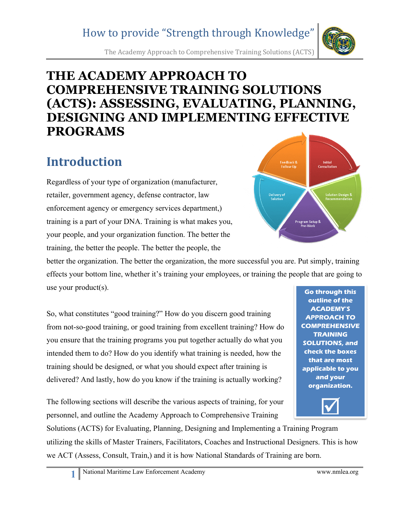The Academy Approach to Comprehensive Training Solutions (ACTS)

## **THE ACADEMY APPROACH TO COMPREHENSIVE TRAINING SOLUTIONS (ACTS): ASSESSING, EVALUATING, PLANNING, DESIGNING AND IMPLEMENTING EFFECTIVE PROGRAMS**

# **Introduction**

Regardless of your type of organization (manufacturer, retailer, government agency, defense contractor, law enforcement agency or emergency services department,) training is a part of your DNA. Training is what makes you, your people, and your organization function. The better the training, the better the people. The better the people, the

better the organization. The better the organization, the more successful you are. Put simply, training effects your bottom line, whether it's training your employees, or training the people that are going to use your product(s). **Go through this** 

So, what constitutes "good training?" How do you discern good training from not-so-good training, or good training from excellent training? How do you ensure that the training programs you put together actually do what you intended them to do? How do you identify what training is needed, how the training should be designed, or what you should expect after training is delivered? And lastly, how do you know if the training is actually working?

The following sections will describe the various aspects of training, for your personnel, and outline the Academy Approach to Comprehensive Training

Solutions (ACTS) for Evaluating, Planning, Designing and Implementing a Training Program utilizing the skills of Master Trainers, Facilitators, Coaches and Instructional Designers. This is how we ACT (Assess, Consult, Train,) and it is how National Standards of Training are born.



 $\overline{\mathbf{M}}$ 

**outline of the ACADEMY'S APPROACH TO COMPREHENSIVE TRAINING SOLUTIONS, and** 

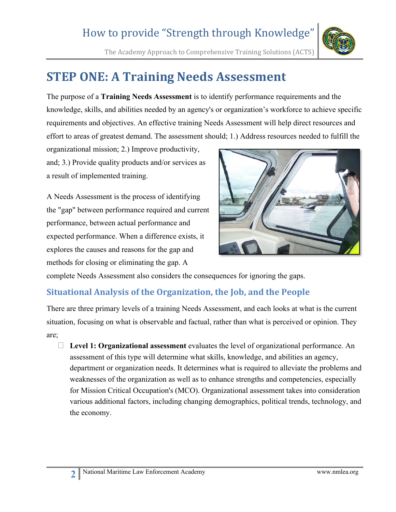The Academy Approach to Comprehensive Training Solutions (ACTS)



# **STEP ONE: A Training Needs Assessment**

The purpose of a **Training Needs Assessment** is to identify performance requirements and the knowledge, skills, and abilities needed by an agency's or organization's workforce to achieve specific requirements and objectives. An effective training Needs Assessment will help direct resources and effort to areas of greatest demand. The assessment should; 1.) Address resources needed to fulfill the

organizational mission; 2.) Improve productivity, and; 3.) Provide quality products and/or services as a result of implemented training.

A Needs Assessment is the process of identifying the "gap" between performance required and current performance, between actual performance and expected performance. When a difference exists, it explores the causes and reasons for the gap and methods for closing or eliminating the gap. A



complete Needs Assessment also considers the consequences for ignoring the gaps.

#### **Situational Analysis of the Organization, the Job, and the People**

There are three primary levels of a training Needs Assessment, and each looks at what is the current situation, focusing on what is observable and factual, rather than what is perceived or opinion. They are;

 **Level 1: Organizational assessment** evaluates the level of organizational performance. An assessment of this type will determine what skills, knowledge, and abilities an agency, department or organization needs. It determines what is required to alleviate the problems and weaknesses of the organization as well as to enhance strengths and competencies, especially for Mission Critical Occupation's (MCO). Organizational assessment takes into consideration various additional factors, including changing demographics, political trends, technology, and the economy.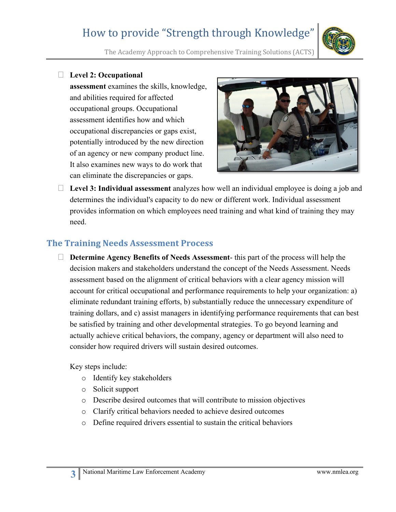

The Academy Approach to Comprehensive Training Solutions (ACTS)

#### **Level 2: Occupational**

**assessment** examines the skills, knowledge, and abilities required for affected occupational groups. Occupational assessment identifies how and which occupational discrepancies or gaps exist, potentially introduced by the new direction of an agency or new company product line. It also examines new ways to do work that can eliminate the discrepancies or gaps.



 **Level 3: Individual assessment** analyzes how well an individual employee is doing a job and determines the individual's capacity to do new or different work. Individual assessment provides information on which employees need training and what kind of training they may need.

#### **The Training Needs Assessment Process**

 **Determine Agency Benefits of Needs Assessment**- this part of the process will help the decision makers and stakeholders understand the concept of the Needs Assessment. Needs assessment based on the alignment of critical behaviors with a clear agency mission will account for critical occupational and performance requirements to help your organization: a) eliminate redundant training efforts, b) substantially reduce the unnecessary expenditure of training dollars, and c) assist managers in identifying performance requirements that can best be satisfied by training and other developmental strategies. To go beyond learning and actually achieve critical behaviors, the company, agency or department will also need to consider how required drivers will sustain desired outcomes.

Key steps include:

- o Identify key stakeholders
- o Solicit support
- o Describe desired outcomes that will contribute to mission objectives
- o Clarify critical behaviors needed to achieve desired outcomes
- o Define required drivers essential to sustain the critical behaviors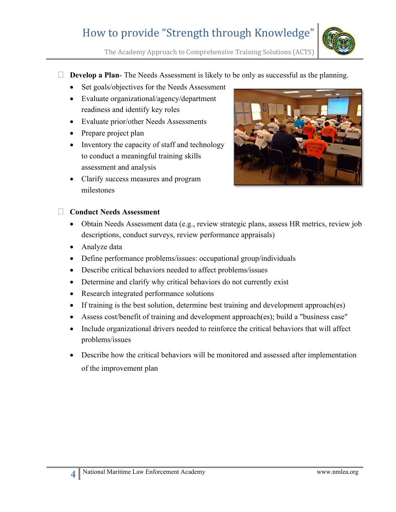

The Academy Approach to Comprehensive Training Solutions (ACTS)

- **Develop a Plan-** The Needs Assessment is likely to be only as successful as the planning.
	- Set goals/objectives for the Needs Assessment
	- Evaluate organizational/agency/department readiness and identify key roles
	- Evaluate prior/other Needs Assessments
	- Prepare project plan
	- Inventory the capacity of staff and technology to conduct a meaningful training skills assessment and analysis
	- Clarify success measures and program milestones



#### **Conduct Needs Assessment**

- Obtain Needs Assessment data (e.g., review strategic plans, assess HR metrics, review job descriptions, conduct surveys, review performance appraisals)
- Analyze data
- Define performance problems/issues: occupational group/individuals
- Describe critical behaviors needed to affect problems/issues
- Determine and clarify why critical behaviors do not currently exist
- Research integrated performance solutions
- If training is the best solution, determine best training and development approach(es)
- Assess cost/benefit of training and development approach(es); build a "business case"
- Include organizational drivers needed to reinforce the critical behaviors that will affect problems/issues
- Describe how the critical behaviors will be monitored and assessed after implementation of the improvement plan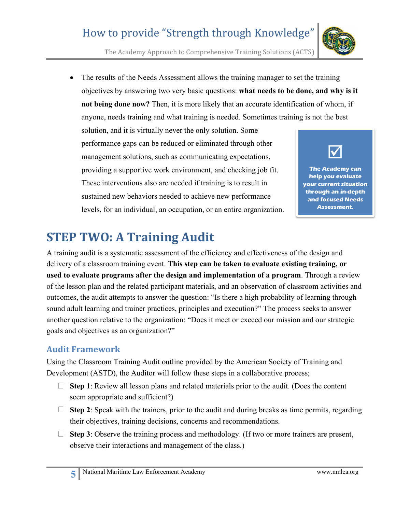The Academy Approach to Comprehensive Training Solutions (ACTS)

• The results of the Needs Assessment allows the training manager to set the training objectives by answering two very basic questions: **what needs to be done, and why is it not being done now?** Then, it is more likely that an accurate identification of whom, if anyone, needs training and what training is needed. Sometimes training is not the best

solution, and it is virtually never the only solution. Some performance gaps can be reduced or eliminated through other management solutions, such as communicating expectations, providing a supportive work environment, and checking job fit. These interventions also are needed if training is to result in sustained new behaviors needed to achieve new performance levels, for an individual, an occupation, or an entire organization.



**The Academy can help you evaluate your current situation through an in-depth and focused Needs Assessment.**

# **STEP TWO: A Training Audit**

A training audit is a systematic assessment of the efficiency and effectiveness of the design and delivery of a classroom training event. **This step can be taken to evaluate existing training, or used to evaluate programs after the design and implementation of a program**. Through a review of the lesson plan and the related participant materials, and an observation of classroom activities and outcomes, the audit attempts to answer the question: "Is there a high probability of learning through sound adult learning and trainer practices, principles and execution?" The process seeks to answer another question relative to the organization: "Does it meet or exceed our mission and our strategic goals and objectives as an organization?"

#### **Audit Framework**

Using the Classroom Training Audit outline provided by the American Society of Training and Development (ASTD), the Auditor will follow these steps in a collaborative process;

- $\Box$  **Step 1**: Review all lesson plans and related materials prior to the audit. (Does the content seem appropriate and sufficient?)
- $\Box$  **Step 2**: Speak with the trainers, prior to the audit and during breaks as time permits, regarding their objectives, training decisions, concerns and recommendations.
- $\Box$  **Step 3**: Observe the training process and methodology. (If two or more trainers are present, observe their interactions and management of the class.)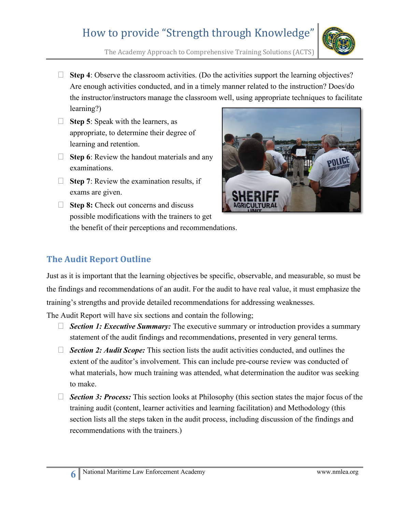

The Academy Approach to Comprehensive Training Solutions (ACTS)

- $\Box$  **Step 4**: Observe the classroom activities. (Do the activities support the learning objectives? Are enough activities conducted, and in a timely manner related to the instruction? Does/do the instructor/instructors manage the classroom well, using appropriate techniques to facilitate learning?)
- □ **Step 5**: Speak with the learners, as appropriate, to determine their degree of learning and retention.
- □ **Step 6**: Review the handout materials and any examinations.
- □ Step 7: Review the examination results, if exams are given.
- 
- □ Step 8: Check out concerns and discuss possible modifications with the trainers to get the benefit of their perceptions and recommendations.

#### **The Audit Report Outline**

Just as it is important that the learning objectives be specific, observable, and measurable, so must be the findings and recommendations of an audit. For the audit to have real value, it must emphasize the training's strengths and provide detailed recommendations for addressing weaknesses.

The Audit Report will have six sections and contain the following;

- *Section 1: Executive Summary:* The executive summary or introduction provides a summary statement of the audit findings and recommendations, presented in very general terms.
- □ **Section 2: Audit Scope:** This section lists the audit activities conducted, and outlines the extent of the auditor's involvement. This can include pre-course review was conducted of what materials, how much training was attended, what determination the auditor was seeking to make.
- □ **Section 3: Process:** This section looks at Philosophy (this section states the major focus of the training audit (content, learner activities and learning facilitation) and Methodology (this section lists all the steps taken in the audit process, including discussion of the findings and recommendations with the trainers.)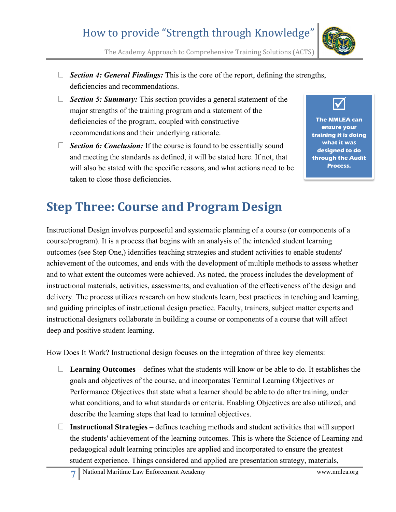

The Academy Approach to Comprehensive Training Solutions (ACTS)

- *Section 4: General Findings:* This is the core of the report, defining the strengths, deficiencies and recommendations.
- □ *Section 5: Summary:* This section provides a general statement of the major strengths of the training program and a statement of the deficiencies of the program, coupled with constructive recommendations and their underlying rationale.
- □ *Section 6: Conclusion:* If the course is found to be essentially sound and meeting the standards as defined, it will be stated here. If not, that will also be stated with the specific reasons, and what actions need to be taken to close those deficiencies.



**The NMLEA can ensure your training it is doing what it was designed to do through the Audit Process.**

# **Step Three: Course and Program Design**

Instructional Design involves purposeful and systematic planning of a course (or components of a course/program). It is a process that begins with an analysis of the intended student learning outcomes (see Step One,) identifies teaching strategies and student activities to enable students' achievement of the outcomes, and ends with the development of multiple methods to assess whether and to what extent the outcomes were achieved. As noted, the process includes the development of instructional materials, activities, assessments, and evaluation of the effectiveness of the design and delivery. The process utilizes research on how students learn, best practices in teaching and learning, and guiding principles of instructional design practice. Faculty, trainers, subject matter experts and instructional designers collaborate in building a course or components of a course that will affect deep and positive student learning.

How Does It Work? Instructional design focuses on the integration of three key elements:

- **Learning Outcomes** defines what the students will know or be able to do. It establishes the goals and objectives of the course, and incorporates Terminal Learning Objectives or Performance Objectives that state what a learner should be able to do after training, under what conditions, and to what standards or criteria. Enabling Objectives are also utilized, and describe the learning steps that lead to terminal objectives.
- **Instructional Strategies** defines teaching methods and student activities that will support the students' achievement of the learning outcomes. This is where the Science of Learning and pedagogical adult learning principles are applied and incorporated to ensure the greatest student experience. Things considered and applied are presentation strategy, materials,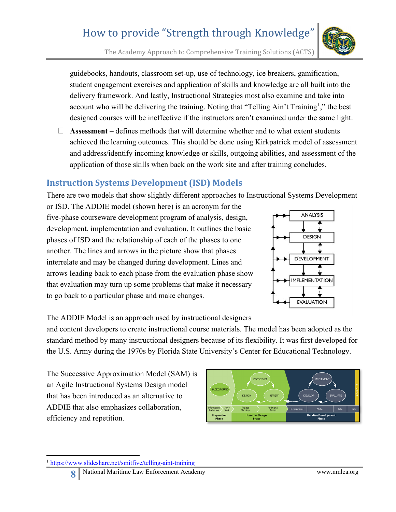<span id="page-7-0"></span><sup>1</sup> <https://www.slideshare.net/smitfive/telling-aint-training>

The Academy Approach to Comprehensive Training Solutions (ACTS)

guidebooks, handouts, classroom set-up, use of technology, ice breakers, gamification, student engagement exercises and application of skills and knowledge are all built into the delivery framework. And lastly, Instructional Strategies most also examine and take into account who will be delivering the training. Noting that "Telling Ain't Training<sup>[1](#page-7-0)</sup>," the best designed courses will be ineffective if the instructors aren't examined under the same light.

 **Assessment** – defines methods that will determine whether and to what extent students achieved the learning outcomes. This should be done using Kirkpatrick model of assessment and address/identify incoming knowledge or skills, outgoing abilities, and assessment of the application of those skills when back on the work site and after training concludes.

#### **Instruction Systems Development (ISD) Models**

There are two models that show slightly different approaches to Instructional Systems Development

or ISD. The ADDIE model (shown here) is an acronym for the five-phase courseware development program of analysis, design, development, implementation and evaluation. It outlines the basic phases of ISD and the relationship of each of the phases to one another. The lines and arrows in the picture show that phases interrelate and may be changed during development. Lines and arrows leading back to each phase from the evaluation phase show that evaluation may turn up some problems that make it necessary to go back to a particular phase and make changes.

The ADDIE Model is an approach used by instructional designers

and content developers to create instructional course materials. The model has been adopted as the standard method by many instructional designers because of its flexibility. It was first developed for the U.S. Army during the 1970s by Florida State University's Center for Educational Technology.

The Successive Approximation Model (SAM) is an Agile Instructional Systems Design model that has been introduced as an alternative to ADDIE that also emphasizes collaboration, efficiency and repetition.